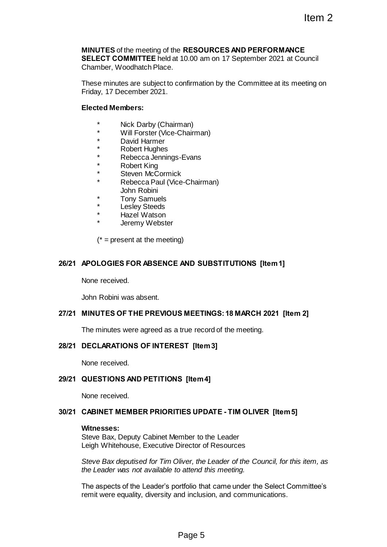# **MINUTES** of the meeting of the **RESOURCES AND PERFORMANCE SELECT COMMITTEE** held at 10.00 am on 17 September 2021 at Council Chamber, Woodhatch Place. Item 2<br>
RESOURCES AND PERFORMANCE<br>
10.00 am on 17 September 2021 at Council<br>
confirmation by the Committee at its meeting on<br>
man)<br>
Thairman)<br>
Thairman<br>
-Evans<br>
K<br>
Re-Chairman)<br>
9<br>
9<br>
9<br>
AND SUBSTITUTIONS [Item 1]<br>
5<br>
5<br>
5

These minutes are subject to confirmation by the Committee at its meeting on Friday, 17 December 2021.

# **Elected Members:**

- \* Nick Darby (Chairman)
- \* Will Forster (Vice-Chairman)
- \* David Harmer
- **Robert Hughes**
- Rebecca Jennings-Evans
- **Robert King**
- Steven McCormick
- Rebecca Paul (Vice-Chairman)
- John Robini
- **Tony Samuels**
- Lesley Steeds
- Hazel Watson
- Jeremy Webster

 $(* = present at the meeting)$ 

# **26/21 APOLOGIES FOR ABSENCE AND SUBSTITUTIONS [Item 1]**

None received.

John Robini was absent.

## **27/21 MINUTES OF THE PREVIOUS MEETINGS:18 MARCH 2021 [Item 2]**

The minutes were agreed as a true record of the meeting.

# **28/21 DECLARATIONS OF INTEREST [Item 3]**

None received.

# **29/21 QUESTIONS AND PETITIONS [Item 4]**

None received.

## **30/21 CABINET MEMBER PRIORITIES UPDATE - TIM OLIVER [Item 5]**

#### **Witnesses:**

Steve Bax, Deputy Cabinet Member to the Leader Leigh Whitehouse, Executive Director of Resources

*Steve Bax deputised for Tim Oliver, the Leader of the Council, for this item, as the Leader was not available to attend this meeting.*

The aspects of the Leader's portfolio that came under the Select Committee's remit were equality, diversity and inclusion, and communications.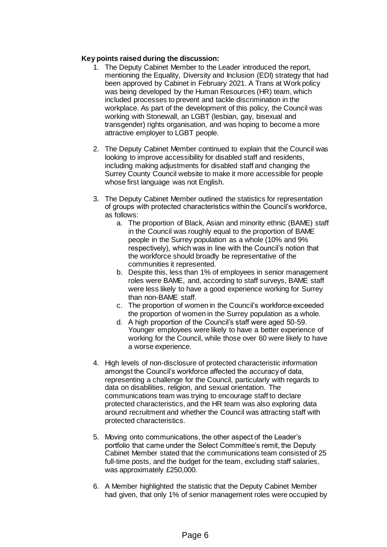# **Key points raised during the discussion:**

- 1. The Deputy Cabinet Member to the Leader introduced the report, mentioning the Equality, Diversity and Inclusion (EDI) strategy that had been approved by Cabinet in February 2021. A Trans at Work policy was being developed by the Human Resources (HR) team, which included processes to prevent and tackle discrimination in the workplace. As part of the development of this policy, the Council was working with Stonewall, an LGBT (lesbian, gay, bisexual and transgender) rights organisation, and was hoping to become a more attractive employer to LGBT people.
- 2. The Deputy Cabinet Member continued to explain that the Council was looking to improve accessibility for disabled staff and residents, including making adjustments for disabled staff and changing the Surrey County Council website to make it more accessible for people whose first language was not English.
- 3. The Deputy Cabinet Member outlined the statistics for representation of groups with protected characteristics within the Council's workforce, as follows:
	- a. The proportion of Black, Asian and minority ethnic (BAME) staff in the Council was roughly equal to the proportion of BAME people in the Surrey population as a whole (10% and 9% respectively), which was in line with the Council's notion that the workforce should broadly be representative of the communities it represented.
	- b. Despite this, less than 1% of employees in senior management roles were BAME, and, according to staff surveys, BAME staff were less likely to have a good experience working for Surrey than non-BAME staff.
	- c. The proportion of women in the Council's workforce exceeded the proportion of women in the Surrey population as a whole.
	- d. A high proportion of the Council's staff were aged 50-59. Younger employees were likely to have a better experience of working for the Council, while those over 60 were likely to have a worse experience.
- 4. High levels of non-disclosure of protected characteristic information amongst the Council's workforce affected the accuracy of data, representing a challenge for the Council, particularly with regards to data on disabilities, religion, and sexual orientation. The communications team was trying to encourage staff to declare protected characteristics, and the HR team was also exploring data around recruitment and whether the Council was attracting staff with protected characteristics.
- 5. Moving onto communications, the other aspect of the Leader's portfolio that came under the Select Committee's remit, the Deputy Cabinet Member stated that the communications team consisted of 25 full-time posts, and the budget for the team, excluding staff salaries, was approximately £250,000.
- 6. A Member highlighted the statistic that the Deputy Cabinet Member had given, that only 1% of senior management roles were occupied by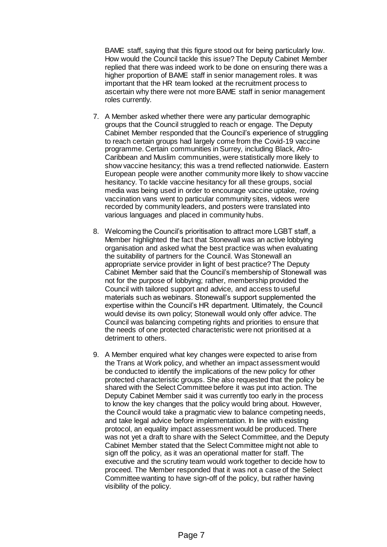BAME staff, saying that this figure stood out for being particularly low. How would the Council tackle this issue? The Deputy Cabinet Member replied that there was indeed work to be done on ensuring there was a higher proportion of BAME staff in senior management roles. It was important that the HR team looked at the recruitment process to ascertain why there were not more BAME staff in senior management roles currently.

- 7. A Member asked whether there were any particular demographic groups that the Council struggled to reach or engage. The Deputy Cabinet Member responded that the Council's experience of struggling to reach certain groups had largely come from the Covid-19 vaccine programme. Certain communities in Surrey, including Black, Afro-Caribbean and Muslim communities, were statistically more likely to show vaccine hesitancy; this was a trend reflected nationwide. Eastern European people were another community more likely to show vaccine hesitancy. To tackle vaccine hesitancy for all these groups, social media was being used in order to encourage vaccine uptake, roving vaccination vans went to particular community sites, videos were recorded by community leaders, and posters were translated into various languages and placed in community hubs.
- 8. Welcoming the Council's prioritisation to attract more LGBT staff, a Member highlighted the fact that Stonewall was an active lobbying organisation and asked what the best practice was when evaluating the suitability of partners for the Council. Was Stonewall an appropriate service provider in light of best practice? The Deputy Cabinet Member said that the Council's membership of Stonewall was not for the purpose of lobbying; rather, membership provided the Council with tailored support and advice, and access to useful materials such as webinars. Stonewall's support supplemented the expertise within the Council's HR department. Ultimately, the Council would devise its own policy; Stonewall would only offer advice. The Council was balancing competing rights and priorities to ensure that the needs of one protected characteristic were not prioritised at a detriment to others.
- 9. A Member enquired what key changes were expected to arise from the Trans at Work policy, and whether an impact assessment would be conducted to identify the implications of the new policy for other protected characteristic groups. She also requested that the policy be shared with the Select Committee before it was put into action. The Deputy Cabinet Member said it was currently too early in the process to know the key changes that the policy would bring about. However, the Council would take a pragmatic view to balance competing needs, and take legal advice before implementation. In line with existing protocol, an equality impact assessment would be produced. There was not yet a draft to share with the Select Committee, and the Deputy Cabinet Member stated that the Select Committee might not able to sign off the policy, as it was an operational matter for staff. The executive and the scrutiny team would work together to decide how to proceed. The Member responded that it was not a case of the Select Committee wanting to have sign-off of the policy, but rather having visibility of the policy.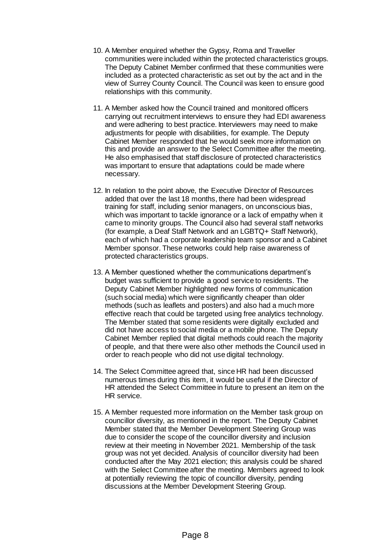- 10. A Member enquired whether the Gypsy, Roma and Traveller communities were included within the protected characteristics groups. The Deputy Cabinet Member confirmed that these communities were included as a protected characteristic as set out by the act and in the view of Surrey County Council. The Council was keen to ensure good relationships with this community.
- 11. A Member asked how the Council trained and monitored officers carrying out recruitment interviews to ensure they had EDI awareness and were adhering to best practice. Interviewers may need to make adjustments for people with disabilities, for example. The Deputy Cabinet Member responded that he would seek more information on this and provide an answer to the Select Committee after the meeting. He also emphasised that staff disclosure of protected characteristics was important to ensure that adaptations could be made where necessary.
- 12. In relation to the point above, the Executive Director of Resources added that over the last 18 months, there had been widespread training for staff, including senior managers, on unconscious bias, which was important to tackle ignorance or a lack of empathy when it came to minority groups. The Council also had several staff networks (for example, a Deaf Staff Network and an LGBTQ+ Staff Network), each of which had a corporate leadership team sponsor and a Cabinet Member sponsor. These networks could help raise awareness of protected characteristics groups.
- 13. A Member questioned whether the communications department's budget was sufficient to provide a good service to residents. The Deputy Cabinet Member highlighted new forms of communication (such social media) which were significantly cheaper than older methods (such as leaflets and posters) and also had a much more effective reach that could be targeted using free analytics technology. The Member stated that some residents were digitally excluded and did not have access to social media or a mobile phone. The Deputy Cabinet Member replied that digital methods could reach the majority of people, and that there were also other methods the Council used in order to reach people who did not use digital technology.
- 14. The Select Committee agreed that, since HR had been discussed numerous times during this item, it would be useful if the Director of HR attended the Select Committee in future to present an item on the HR service.
- 15. A Member requested more information on the Member task group on councillor diversity, as mentioned in the report. The Deputy Cabinet Member stated that the Member Development Steering Group was due to consider the scope of the councillor diversity and inclusion review at their meeting in November 2021. Membership of the task group was not yet decided. Analysis of councillor diversity had been conducted after the May 2021 election; this analysis could be shared with the Select Committee after the meeting. Members agreed to look at potentially reviewing the topic of councillor diversity, pending discussions at the Member Development Steering Group.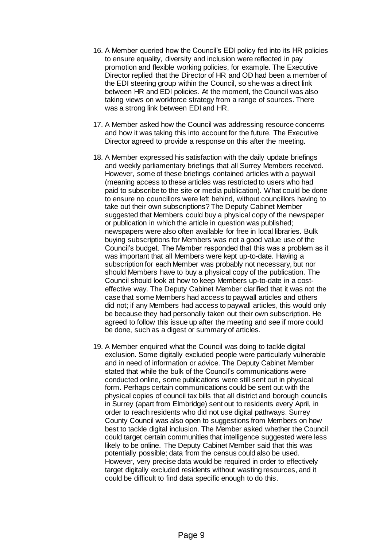- 16. A Member queried how the Council's EDI policy fed into its HR policies to ensure equality, diversity and inclusion were reflected in pay promotion and flexible working policies, for example. The Executive Director replied that the Director of HR and OD had been a member of the EDI steering group within the Council, so she was a direct link between HR and EDI policies. At the moment, the Council was also taking views on workforce strategy from a range of sources. There was a strong link between EDI and HR.
- 17. A Member asked how the Council was addressing resource concerns and how it was taking this into account for the future. The Executive Director agreed to provide a response on this after the meeting.
- 18. A Member expressed his satisfaction with the daily update briefings and weekly parliamentary briefings that all Surrey Members received. However, some of these briefings contained articles with a paywall (meaning access to these articles was restricted to users who had paid to subscribe to the site or media publication). What could be done to ensure no councillors were left behind, without councillors having to take out their own subscriptions? The Deputy Cabinet Member suggested that Members could buy a physical copy of the newspaper or publication in which the article in question was published; newspapers were also often available for free in local libraries. Bulk buying subscriptions for Members was not a good value use of the Council's budget. The Member responded that this was a problem as it was important that all Members were kept up-to-date. Having a subscription for each Member was probably not necessary, but nor should Members have to buy a physical copy of the publication. The Council should look at how to keep Members up-to-date in a costeffective way. The Deputy Cabinet Member clarified that it was not the case that some Members had access to paywall articles and others did not; if any Members had access to paywall articles, this would only be because they had personally taken out their own subscription. He agreed to follow this issue up after the meeting and see if more could be done, such as a digest or summary of articles.
- 19. A Member enquired what the Council was doing to tackle digital exclusion. Some digitally excluded people were particularly vulnerable and in need of information or advice. The Deputy Cabinet Member stated that while the bulk of the Council's communications were conducted online, some publications were still sent out in physical form. Perhaps certain communications could be sent out with the physical copies of council tax bills that all district and borough councils in Surrey (apart from Elmbridge) sent out to residents every April, in order to reach residents who did not use digital pathways. Surrey County Council was also open to suggestions from Members on how best to tackle digital inclusion. The Member asked whether the Council could target certain communities that intelligence suggested were less likely to be online. The Deputy Cabinet Member said that this was potentially possible; data from the census could also be used. However, very precise data would be required in order to effectively target digitally excluded residents without wasting resources, and it could be difficult to find data specific enough to do this.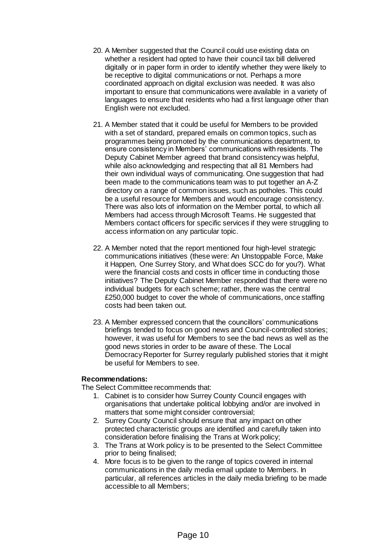- 20. A Member suggested that the Council could use existing data on whether a resident had opted to have their council tax bill delivered digitally or in paper form in order to identify whether they were likely to be receptive to digital communications or not. Perhaps a more coordinated approach on digital exclusion was needed. It was also important to ensure that communications were available in a variety of languages to ensure that residents who had a first language other than English were not excluded.
- 21. A Member stated that it could be useful for Members to be provided with a set of standard, prepared emails on common topics, such as programmes being promoted by the communications department, to ensure consistency in Members' communications with residents. The Deputy Cabinet Member agreed that brand consistency was helpful, while also acknowledging and respecting that all 81 Members had their own individual ways of communicating. One suggestion that had been made to the communications team was to put together an A-Z directory on a range of common issues, such as potholes. This could be a useful resource for Members and would encourage consistency. There was also lots of information on the Member portal, to which all Members had access through Microsoft Teams. He suggested that Members contact officers for specific services if they were struggling to access information on any particular topic.
- 22. A Member noted that the report mentioned four high-level strategic communications initiatives (these were: An Unstoppable Force, Make it Happen, One Surrey Story, and What does SCC do for you?). What were the financial costs and costs in officer time in conducting those initiatives? The Deputy Cabinet Member responded that there were no individual budgets for each scheme; rather, there was the central £250,000 budget to cover the whole of communications, once staffing costs had been taken out.
- 23. A Member expressed concern that the councillors' communications briefings tended to focus on good news and Council-controlled stories; however, it was useful for Members to see the bad news as well as the good news stories in order to be aware of these. The Local Democracy Reporter for Surrey regularly published stories that it might be useful for Members to see.

# **Recommendations:**

The Select Committee recommends that:

- 1. Cabinet is to consider how Surrey County Council engages with organisations that undertake political lobbying and/or are involved in matters that some might consider controversial;
- 2. Surrey County Council should ensure that any impact on other protected characteristic groups are identified and carefully taken into consideration before finalising the Trans at Work policy;
- 3. The Trans at Work policy is to be presented to the Select Committee prior to being finalised;
- 4. More focus is to be given to the range of topics covered in internal communications in the daily media email update to Members. In particular, all references articles in the daily media briefing to be made accessible to all Members;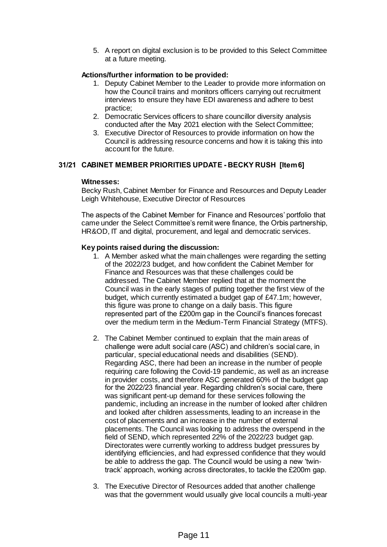5. A report on digital exclusion is to be provided to this Select Committee at a future meeting.

# **Actions/further information to be provided:**

- 1. Deputy Cabinet Member to the Leader to provide more information on how the Council trains and monitors officers carrying out recruitment interviews to ensure they have EDI awareness and adhere to best practice;
- 2. Democratic Services officers to share councillor diversity analysis conducted after the May 2021 election with the Select Committee;
- 3. Executive Director of Resources to provide information on how the Council is addressing resource concerns and how it is taking this into account for the future.

## **31/21 CABINET MEMBER PRIORITIES UPDATE - BECKY RUSH [Item 6]**

# **Witnesses:**

Becky Rush, Cabinet Member for Finance and Resources and Deputy Leader Leigh Whitehouse, Executive Director of Resources

The aspects of the Cabinet Member for Finance and Resources' portfolio that came under the Select Committee's remit were finance, the Orbis partnership, HR&OD, IT and digital, procurement, and legal and democratic services.

## **Key points raised during the discussion:**

- 1. A Member asked what the main challenges were regarding the setting of the 2022/23 budget, and how confident the Cabinet Member for Finance and Resources was that these challenges could be addressed. The Cabinet Member replied that at the moment the Council was in the early stages of putting together the first view of the budget, which currently estimated a budget gap of £47.1m; however, this figure was prone to change on a daily basis. This figure represented part of the £200m gap in the Council's finances forecast over the medium term in the Medium-Term Financial Strategy (MTFS).
- 2. The Cabinet Member continued to explain that the main areas of challenge were adult social care (ASC) and children's social care, in particular, special educational needs and disabilities (SEND). Regarding ASC, there had been an increase in the number of people requiring care following the Covid-19 pandemic, as well as an increase in provider costs, and therefore ASC generated 60% of the budget gap for the 2022/23 financial year. Regarding children's social care, there was significant pent-up demand for these services following the pandemic, including an increase in the number of looked after children and looked after children assessments, leading to an increase in the cost of placements and an increase in the number of external placements. The Council was looking to address the overspend in the field of SEND, which represented 22% of the 2022/23 budget gap. Directorates were currently working to address budget pressures by identifying efficiencies, and had expressed confidence that they would be able to address the gap. The Council would be using a new 'twintrack' approach, working across directorates, to tackle the £200m gap.
- 3. The Executive Director of Resources added that another challenge was that the government would usually give local councils a multi-year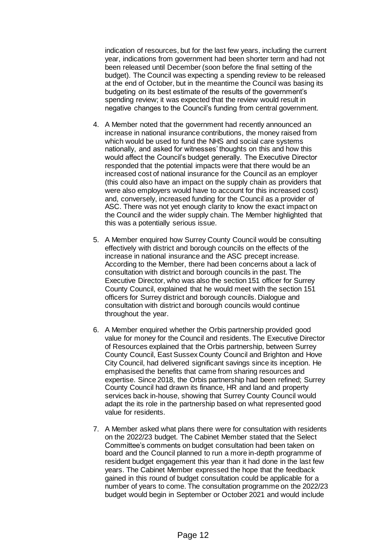indication of resources, but for the last few years, including the current year, indications from government had been shorter term and had not been released until December (soon before the final setting of the budget). The Council was expecting a spending review to be released at the end of October, but in the meantime the Council was basing its budgeting on its best estimate of the results of the government's spending review; it was expected that the review would result in negative changes to the Council's funding from central government.

- 4. A Member noted that the government had recently announced an increase in national insurance contributions, the money raised from which would be used to fund the NHS and social care systems nationally, and asked for witnesses' thoughts on this and how this would affect the Council's budget generally. The Executive Director responded that the potential impacts were that there would be an increased cost of national insurance for the Council as an employer (this could also have an impact on the supply chain as providers that were also employers would have to account for this increased cost) and, conversely, increased funding for the Council as a provider of ASC. There was not yet enough clarity to know the exact impact on the Council and the wider supply chain. The Member highlighted that this was a potentially serious issue.
- 5. A Member enquired how Surrey County Council would be consulting effectively with district and borough councils on the effects of the increase in national insurance and the ASC precept increase. According to the Member, there had been concerns about a lack of consultation with district and borough councils in the past. The Executive Director, who was also the section 151 officer for Surrey County Council, explained that he would meet with the section 151 officers for Surrey district and borough councils. Dialogue and consultation with district and borough councils would continue throughout the year.
- 6. A Member enquired whether the Orbis partnership provided good value for money for the Council and residents. The Executive Director of Resources explained that the Orbis partnership, between Surrey County Council, East Sussex County Council and Brighton and Hove City Council, had delivered significant savings since its inception. He emphasised the benefits that came from sharing resources and expertise. Since 2018, the Orbis partnership had been refined; Surrey County Council had drawn its finance, HR and land and property services back in-house, showing that Surrey County Council would adapt the its role in the partnership based on what represented good value for residents.
- 7. A Member asked what plans there were for consultation with residents on the 2022/23 budget. The Cabinet Member stated that the Select Committee's comments on budget consultation had been taken on board and the Council planned to run a more in-depth programme of resident budget engagement this year than it had done in the last few years. The Cabinet Member expressed the hope that the feedback gained in this round of budget consultation could be applicable for a number of years to come. The consultation programme on the 2022/23 budget would begin in September or October 2021 and would include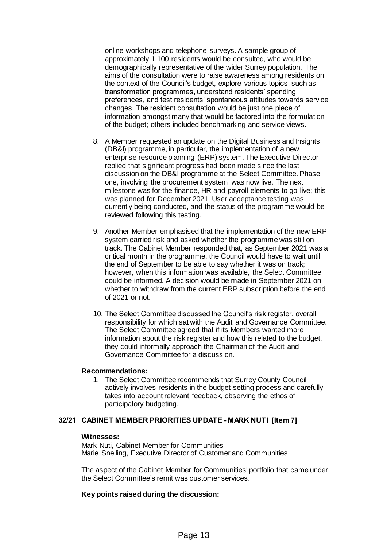online workshops and telephone surveys. A sample group of approximately 1,100 residents would be consulted, who would be demographically representative of the wider Surrey population. The aims of the consultation were to raise awareness among residents on the context of the Council's budget, explore various topics, such as transformation programmes, understand residents' spending preferences, and test residents' spontaneous attitudes towards service changes. The resident consultation would be just one piece of information amongst many that would be factored into the formulation of the budget; others included benchmarking and service views.

- 8. A Member requested an update on the Digital Business and Insights (DB&I) programme, in particular, the implementation of a new enterprise resource planning (ERP) system. The Executive Director replied that significant progress had been made since the last discussion on the DB&I programme at the Select Committee. Phase one, involving the procurement system, was now live. The next milestone was for the finance, HR and payroll elements to go live; this was planned for December 2021. User acceptance testing was currently being conducted, and the status of the programme would be reviewed following this testing.
- 9. Another Member emphasised that the implementation of the new ERP system carried risk and asked whether the programme was still on track. The Cabinet Member responded that, as September 2021 was a critical month in the programme, the Council would have to wait until the end of September to be able to say whether it was on track; however, when this information was available, the Select Committee could be informed. A decision would be made in September 2021 on whether to withdraw from the current ERP subscription before the end of 2021 or not.
- 10. The Select Committee discussed the Council's risk register, overall responsibility for which sat with the Audit and Governance Committee. The Select Committee agreed that if its Members wanted more information about the risk register and how this related to the budget, they could informally approach the Chairman of the Audit and Governance Committee for a discussion.

## **Recommendations:**

1. The Select Committee recommends that Surrey County Council actively involves residents in the budget setting process and carefully takes into account relevant feedback, observing the ethos of participatory budgeting.

## **32/21 CABINET MEMBER PRIORITIES UPDATE - MARK NUTI [Item 7]**

#### **Witnesses:**

Mark Nuti, Cabinet Member for Communities Marie Snelling, Executive Director of Customer and Communities

The aspect of the Cabinet Member for Communities' portfolio that came under the Select Committee's remit was customer services.

## **Key points raised during the discussion:**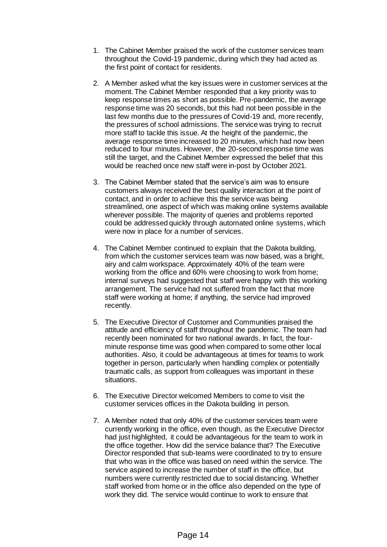- 1. The Cabinet Member praised the work of the customer services team throughout the Covid-19 pandemic, during which they had acted as the first point of contact for residents.
- 2. A Member asked what the key issues were in customer services at the moment. The Cabinet Member responded that a key priority was to keep response times as short as possible. Pre-pandemic, the average response time was 20 seconds, but this had not been possible in the last few months due to the pressures of Covid-19 and, more recently, the pressures of school admissions. The service was trying to recruit more staff to tackle this issue. At the height of the pandemic, the average response time increased to 20 minutes, which had now been reduced to four minutes. However, the 20-second response time was still the target, and the Cabinet Member expressed the belief that this would be reached once new staff were in-post by October 2021.
- 3. The Cabinet Member stated that the service's aim was to ensure customers always received the best quality interaction at the point of contact, and in order to achieve this the service was being streamlined, one aspect of which was making online systems available wherever possible. The majority of queries and problems reported could be addressed quickly through automated online systems, which were now in place for a number of services.
- 4. The Cabinet Member continued to explain that the Dakota building, from which the customer services team was now based, was a bright, airy and calm workspace. Approximately 40% of the team were working from the office and 60% were choosing to work from home; internal surveys had suggested that staff were happy with this working arrangement. The service had not suffered from the fact that more staff were working at home; if anything, the service had improved recently.
- 5. The Executive Director of Customer and Communities praised the attitude and efficiency of staff throughout the pandemic. The team had recently been nominated for two national awards. In fact, the fourminute response time was good when compared to some other local authorities. Also, it could be advantageous at times for teams to work together in person, particularly when handling complex or potentially traumatic calls, as support from colleagues was important in these situations.
- 6. The Executive Director welcomed Members to come to visit the customer services offices in the Dakota building in person.
- 7. A Member noted that only 40% of the customer services team were currently working in the office, even though, as the Executive Director had just highlighted, it could be advantageous for the team to work in the office together. How did the service balance that? The Executive Director responded that sub-teams were coordinated to try to ensure that who was in the office was based on need within the service. The service aspired to increase the number of staff in the office, but numbers were currently restricted due to social distancing. Whether staff worked from home or in the office also depended on the type of work they did. The service would continue to work to ensure that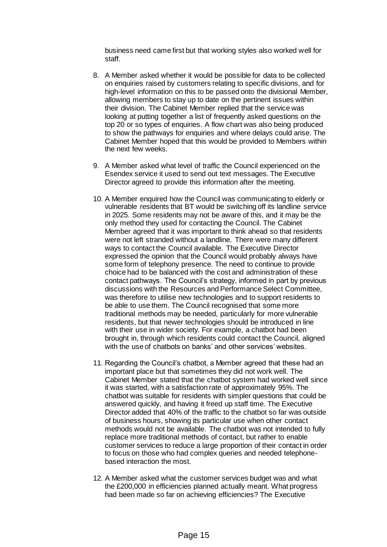business need came first but that working styles also worked well for staff.

- 8. A Member asked whether it would be possible for data to be collected on enquiries raised by customers relating to specific divisions, and for high-level information on this to be passed onto the divisional Member, allowing members to stay up to date on the pertinent issues within their division. The Cabinet Member replied that the service was looking at putting together a list of frequently asked questions on the top 20 or so types of enquiries. A flow chart was also being produced to show the pathways for enquiries and where delays could arise. The Cabinet Member hoped that this would be provided to Members within the next few weeks.
- 9. A Member asked what level of traffic the Council experienced on the Esendex service it used to send out text messages. The Executive Director agreed to provide this information after the meeting.
- 10. A Member enquired how the Council was communicating to elderly or vulnerable residents that BT would be switching off its landline service in 2025. Some residents may not be aware of this, and it may be the only method they used for contacting the Council. The Cabinet Member agreed that it was important to think ahead so that residents were not left stranded without a landline. There were many different ways to contact the Council available. The Executive Director expressed the opinion that the Council would probably always have some form of telephony presence. The need to continue to provide choice had to be balanced with the cost and administration of these contact pathways. The Council's strategy, informed in part by previous discussions with the Resources and Performance Select Committee, was therefore to utilise new technologies and to support residents to be able to use them. The Council recognised that some more traditional methods may be needed, particularly for more vulnerable residents, but that newer technologies should be introduced in line with their use in wider society. For example, a chatbot had been brought in, through which residents could contact the Council, aligned with the use of chatbots on banks' and other services' websites.
- 11. Regarding the Council's chatbot, a Member agreed that these had an important place but that sometimes they did not work well. The Cabinet Member stated that the chatbot system had worked well since it was started, with a satisfaction rate of approximately 95%. The chatbot was suitable for residents with simpler questions that could be answered quickly, and having it freed up staff time. The Executive Director added that 40% of the traffic to the chatbot so far was outside of business hours, showing its particular use when other contact methods would not be available. The chatbot was not intended to fully replace more traditional methods of contact, but rather to enable customer services to reduce a large proportion of their contact in order to focus on those who had complex queries and needed telephonebased interaction the most.
- 12. A Member asked what the customer services budget was and what the £200,000 in efficiencies planned actually meant. What progress had been made so far on achieving efficiencies? The Executive